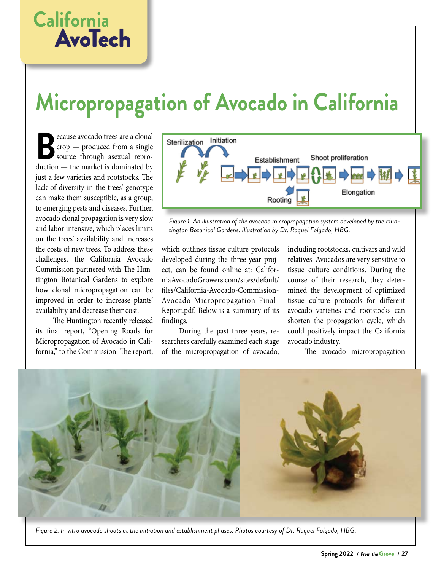## **California** AvoTech

## **Micropropagation of Avocado in California**

**B**ecause avocado trees are a clonal<br>
source through asexual reproduction — the market is dominated by crop — produced from a single source through asexual reproduction — the market is dominated by just a few varieties and rootstocks. The lack of diversity in the trees' genotype can make them susceptible, as a group, to emerging pests and diseases. Further, avocado clonal propagation is very slow and labor intensive, which places limits on the trees' availability and increases the costs of new trees. To address these challenges, the California Avocado Commission partnered with The Huntington Botanical Gardens to explore how clonal micropropagation can be improved in order to increase plants' availability and decrease their cost.

The Huntington recently released its final report, "Opening Roads for Micropropagation of Avocado in California," to the Commission. The report,



*Figure 1. An illustration of the avocado micropropagation system developed by the Huntington Botanical Gardens. Illustration by Dr. Raquel Folgado, HBG.*

which outlines tissue culture protocols developed during the three-year project, can be found online at: CaliforniaAvocadoGrowers.com/sites/default/ files/California-Avocado-Commission-Avocado-Micropropagation-Final-Report.pdf. Below is a summary of its findings.

During the past three years, researchers carefully examined each stage of the micropropagation of avocado, including rootstocks, cultivars and wild relatives. Avocados are very sensitive to tissue culture conditions. During the course of their research, they determined the development of optimized tissue culture protocols for different avocado varieties and rootstocks can shorten the propagation cycle, which could positively impact the California avocado industry.

The avocado micropropagation



*Figure 2. In vitro avocado shoots at the initiation and establishment phases. Photos courtesy of Dr. Raquel Folgado, HBG.*